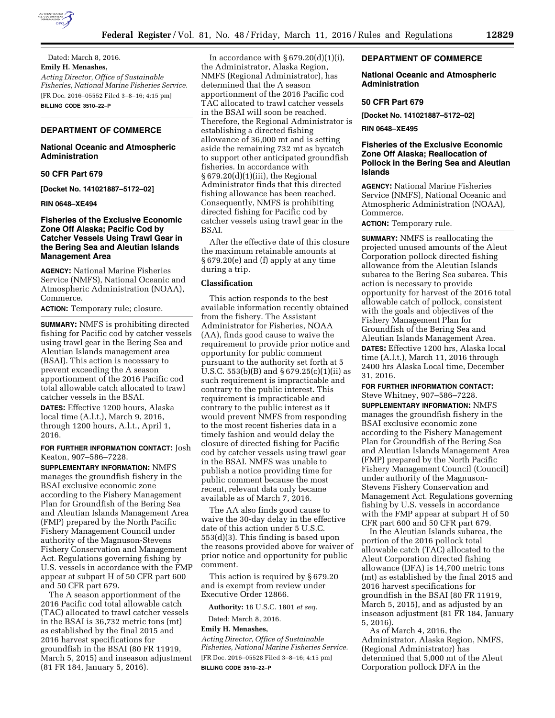

Dated: March 8, 2016. **Emily H. Menashes,**  *Acting Director, Office of Sustainable Fisheries, National Marine Fisheries Service.*  [FR Doc. 2016–05552 Filed 3–8–16; 4:15 pm] **BILLING CODE 3510–22–P** 

## **DEPARTMENT OF COMMERCE**

## **National Oceanic and Atmospheric Administration**

#### **50 CFR Part 679**

**[Docket No. 141021887–5172–02]** 

#### **RIN 0648–XE494**

## **Fisheries of the Exclusive Economic Zone Off Alaska; Pacific Cod by Catcher Vessels Using Trawl Gear in the Bering Sea and Aleutian Islands Management Area**

**AGENCY:** National Marine Fisheries Service (NMFS), National Oceanic and Atmospheric Administration (NOAA), Commerce.

**ACTION:** Temporary rule; closure.

**SUMMARY:** NMFS is prohibiting directed fishing for Pacific cod by catcher vessels using trawl gear in the Bering Sea and Aleutian Islands management area (BSAI). This action is necessary to prevent exceeding the A season apportionment of the 2016 Pacific cod total allowable catch allocated to trawl catcher vessels in the BSAI.

**DATES:** Effective 1200 hours, Alaska local time (A.l.t.), March 9, 2016, through 1200 hours, A.l.t., April 1, 2016.

### **FOR FURTHER INFORMATION CONTACT:** Josh Keaton, 907–586–7228.

**SUPPLEMENTARY INFORMATION:** NMFS manages the groundfish fishery in the BSAI exclusive economic zone according to the Fishery Management Plan for Groundfish of the Bering Sea and Aleutian Islands Management Area (FMP) prepared by the North Pacific Fishery Management Council under authority of the Magnuson-Stevens Fishery Conservation and Management Act. Regulations governing fishing by U.S. vessels in accordance with the FMP appear at subpart H of 50 CFR part 600 and 50 CFR part 679.

The A season apportionment of the 2016 Pacific cod total allowable catch (TAC) allocated to trawl catcher vessels in the BSAI is 36,732 metric tons (mt) as established by the final 2015 and 2016 harvest specifications for groundfish in the BSAI (80 FR 11919, March 5, 2015) and inseason adjustment (81 FR 184, January 5, 2016).

In accordance with  $\S 679.20(d)(1)(i)$ , the Administrator, Alaska Region, NMFS (Regional Administrator), has determined that the A season apportionment of the 2016 Pacific cod TAC allocated to trawl catcher vessels in the BSAI will soon be reached. Therefore, the Regional Administrator is establishing a directed fishing allowance of 36,000 mt and is setting aside the remaining 732 mt as bycatch to support other anticipated groundfish fisheries. In accordance with § 679.20(d)(1)(iii), the Regional Administrator finds that this directed fishing allowance has been reached. Consequently, NMFS is prohibiting directed fishing for Pacific cod by catcher vessels using trawl gear in the BSAI.

After the effective date of this closure the maximum retainable amounts at § 679.20(e) and (f) apply at any time during a trip.

## **Classification**

This action responds to the best available information recently obtained from the fishery. The Assistant Administrator for Fisheries, NOAA (AA), finds good cause to waive the requirement to provide prior notice and opportunity for public comment pursuant to the authority set forth at 5 U.S.C. 553(b)(B) and  $\S 679.25(c)(1)(ii)$  as such requirement is impracticable and contrary to the public interest. This requirement is impracticable and contrary to the public interest as it would prevent NMFS from responding to the most recent fisheries data in a timely fashion and would delay the closure of directed fishing for Pacific cod by catcher vessels using trawl gear in the BSAI. NMFS was unable to publish a notice providing time for public comment because the most recent, relevant data only became available as of March 7, 2016.

The AA also finds good cause to waive the 30-day delay in the effective date of this action under 5 U.S.C. 553(d)(3). This finding is based upon the reasons provided above for waiver of prior notice and opportunity for public comment.

This action is required by § 679.20 and is exempt from review under Executive Order 12866.

**Authority:** 16 U.S.C. 1801 *et seq.* 

Dated: March 8, 2016.

#### **Emily H. Menashes,**

*Acting Director, Office of Sustainable Fisheries, National Marine Fisheries Service.*  [FR Doc. 2016–05528 Filed 3–8–16; 4:15 pm] **BILLING CODE 3510–22–P** 

### **DEPARTMENT OF COMMERCE**

### **National Oceanic and Atmospheric Administration**

#### **50 CFR Part 679**

**[Docket No. 141021887–5172–02]** 

**RIN 0648–XE495** 

## **Fisheries of the Exclusive Economic Zone Off Alaska; Reallocation of Pollock in the Bering Sea and Aleutian Islands**

**AGENCY:** National Marine Fisheries Service (NMFS), National Oceanic and Atmospheric Administration (NOAA), **Commerce** 

**ACTION:** Temporary rule.

**SUMMARY:** NMFS is reallocating the projected unused amounts of the Aleut Corporation pollock directed fishing allowance from the Aleutian Islands subarea to the Bering Sea subarea. This action is necessary to provide opportunity for harvest of the 2016 total allowable catch of pollock, consistent with the goals and objectives of the Fishery Management Plan for Groundfish of the Bering Sea and Aleutian Islands Management Area.

**DATES:** Effective 1200 hrs, Alaska local time (A.l.t.), March 11, 2016 through 2400 hrs Alaska Local time, December 31, 2016.

**FOR FURTHER INFORMATION CONTACT:**  Steve Whitney, 907–586–7228.

**SUPPLEMENTARY INFORMATION:** NMFS manages the groundfish fishery in the BSAI exclusive economic zone according to the Fishery Management Plan for Groundfish of the Bering Sea and Aleutian Islands Management Area (FMP) prepared by the North Pacific Fishery Management Council (Council) under authority of the Magnuson-Stevens Fishery Conservation and Management Act. Regulations governing fishing by U.S. vessels in accordance with the FMP appear at subpart H of 50 CFR part 600 and 50 CFR part 679.

In the Aleutian Islands subarea, the portion of the 2016 pollock total allowable catch (TAC) allocated to the Aleut Corporation directed fishing allowance (DFA) is 14,700 metric tons (mt) as established by the final 2015 and 2016 harvest specifications for groundfish in the BSAI (80 FR 11919, March 5, 2015), and as adjusted by an inseason adjustment (81 FR 184, January 5, 2016).

As of March 4, 2016, the Administrator, Alaska Region, NMFS, (Regional Administrator) has determined that 5,000 mt of the Aleut Corporation pollock DFA in the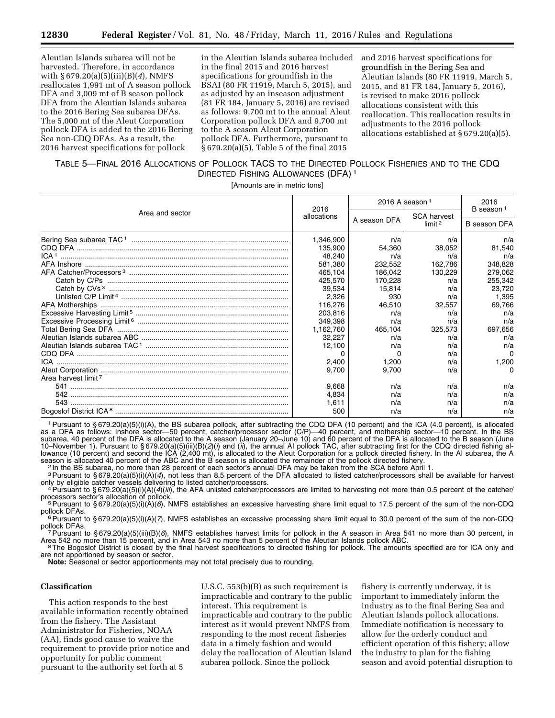Aleutian Islands subarea will not be harvested. Therefore, in accordance with § 679.20(a)(5)(iii)(B)(*4*), NMFS reallocates 1,991 mt of A season pollock DFA and 3,009 mt of B season pollock DFA from the Aleutian Islands subarea to the 2016 Bering Sea subarea DFAs. The 5,000 mt of the Aleut Corporation pollock DFA is added to the 2016 Bering Sea non-CDQ DFAs. As a result, the 2016 harvest specifications for pollock

in the Aleutian Islands subarea included in the final 2015 and 2016 harvest specifications for groundfish in the BSAI (80 FR 11919, March 5, 2015), and as adjusted by an inseason adjustment (81 FR 184, January 5, 2016) are revised as follows: 9,700 mt to the annual Aleut Corporation pollock DFA and 9,700 mt to the A season Aleut Corporation pollock DFA. Furthermore, pursuant to § 679.20(a)(5), Table 5 of the final 2015

and 2016 harvest specifications for groundfish in the Bering Sea and Aleutian Islands (80 FR 11919, March 5, 2015, and 81 FR 184, January 5, 2016), is revised to make 2016 pollock allocations consistent with this reallocation. This reallocation results in adjustments to the 2016 pollock allocations established at § 679.20(a)(5).

# TABLE 5—FINAL 2016 ALLOCATIONS OF POLLOCK TACS TO THE DIRECTED POLLOCK FISHERIES AND TO THE CDQ DIRECTED FISHING ALLOWANCES (DFA) 1

[Amounts are in metric tons]

| Area and sector                        | 2016<br>allocations | 2016 A season $1$ |                                          | 2016<br>B season <sup>1</sup> |
|----------------------------------------|---------------------|-------------------|------------------------------------------|-------------------------------|
|                                        |                     | A season DFA      | <b>SCA harvest</b><br>limit <sup>2</sup> | B season DFA                  |
|                                        | 1,346,900           | n/a               | n/a                                      | n/a                           |
|                                        | 135,900             | 54,360            | 38,052                                   | 81,540                        |
| ICA <sup>1</sup>                       | 48,240<br>581.380   | n/a<br>232,552    | n/a<br>162,786                           | n/a<br>348,828                |
|                                        | 465,104             | 186,042           | 130,229                                  | 279,062                       |
|                                        | 425,570             | 170,228           | n/a                                      | 255,342                       |
|                                        | 39.534              | 15.814            | n/a                                      | 23,720                        |
|                                        | 2,326               | 930               | n/a                                      | 1,395                         |
|                                        | 116,276             | 46,510            | 32,557                                   | 69,766                        |
|                                        | 203,816             | n/a               | n/a                                      | n/a                           |
|                                        | 349,398             | n/a               | n/a                                      | n/a                           |
|                                        | 1,162,760           | 465,104           | 325,573                                  | 697,656                       |
|                                        | 32,227              | n/a               | n/a                                      | n/a                           |
|                                        | 12,100              | n/a               | n/a                                      | n/a                           |
|                                        | n                   | <sup>0</sup>      | n/a                                      | $\Omega$                      |
|                                        | 2,400               | 1,200             | n/a                                      | 1,200                         |
|                                        | 9,700               | 9,700             | n/a                                      | $\Omega$                      |
| Area harvest limit <sup>7</sup><br>541 | 9,668               | n/a               | n/a                                      | n/a                           |
|                                        | 4,834               | n/a               | n/a                                      | n/a                           |
|                                        | 1.611               | n/a               | n/a                                      | n/a                           |
|                                        | 500                 | n/a               | n/a                                      | n/a                           |

1Pursuant to § 679.20(a)(5)(i)(A), the BS subarea pollock, after subtracting the CDQ DFA (10 percent) and the ICA (4.0 percent), is allocated as a DFA as follows: Inshore sector—50 percent, catcher/processor sector (C/P)—40 percent, and mothership sector—10 percent. In the BS subarea, 40 percent of the DFA is allocated to the A season (January 20–June 10) and 60 percent of the DFA is allocated to the B season (June 10–November 1). Pursuant to § 679.20(a)(5)(iii)(B)(*2*)(*i*) and (*ii*), the annual AI pollock TAC, after subtracting first for the CDQ directed fishing allowance (10 percent) and second the ICA (2,400 mt), is allocated to the Aleut Corporation for a pollock directed fishery. In the AI subarea, the A season is allocated 40 percent of the ABC and the B season is allocated the remainder of the pollock directed fishery.<br>1. In the BS subarea, no more than 28 percent of each sector's annual DFA may be taken from the SCA bef

<sup>2</sup> In the BS subarea, no more than 28 percent of each sector's annual DFA may be taken from the SCA before April 1.<br><sup>3</sup> Pursuant to §679.20(a)(5)(i)(A)(*4*), not less than 8.5 percent of the DFA allocated to listed catche only by eligible catcher vessels delivering to listed catcher/processors.<br><sup>4</sup> Pursuant to §679.20(a)(5)(i)(A)(4)(*iii*), the AFA unlisted catcher/processors are limited to harvesting not more than 0.5 percent of the catche

processors sector's allocation of pollock.<br>5 Pursuant to § 679.20(a)(5)(i)(A)(*6*), NMFS establishes an excessive harvesting share limit equal to 17.5 percent of the sum of the non-CDQ<br>pollock DFAs.

<sup>cae</sup>Pursuant to §679.20(a)(5)(i)(A)(*7*), NMFS establishes an excessive processing share limit equal to 30.0 percent of the sum of the non-CDQ<br>pollock DFAs.

<sup>'</sup> <sup>7</sup> Pursuant to § 679.20(a)(5)(iii)(B)(*6*), NMFS establishes harvest limits for pollock in the A season in Area 541 no more than 30 percent, in<br>Area 542 no more than 15 percent, and in Area 543 no more than 5 percent

<sup>8</sup>The Bogoslof District is closed by the final harvest specifications to directed fishing for pollock. The amounts specified are for ICA only and are not apportioned by season or sector.

**Note:** Seasonal or sector apportionments may not total precisely due to rounding.

### **Classification**

This action responds to the best available information recently obtained from the fishery. The Assistant Administrator for Fisheries, NOAA (AA), finds good cause to waive the requirement to provide prior notice and opportunity for public comment pursuant to the authority set forth at 5

U.S.C. 553(b)(B) as such requirement is impracticable and contrary to the public interest. This requirement is impracticable and contrary to the public interest as it would prevent NMFS from responding to the most recent fisheries data in a timely fashion and would delay the reallocation of Aleutian Island subarea pollock. Since the pollock

fishery is currently underway, it is important to immediately inform the industry as to the final Bering Sea and Aleutian Islands pollock allocations. Immediate notification is necessary to allow for the orderly conduct and efficient operation of this fishery; allow the industry to plan for the fishing season and avoid potential disruption to